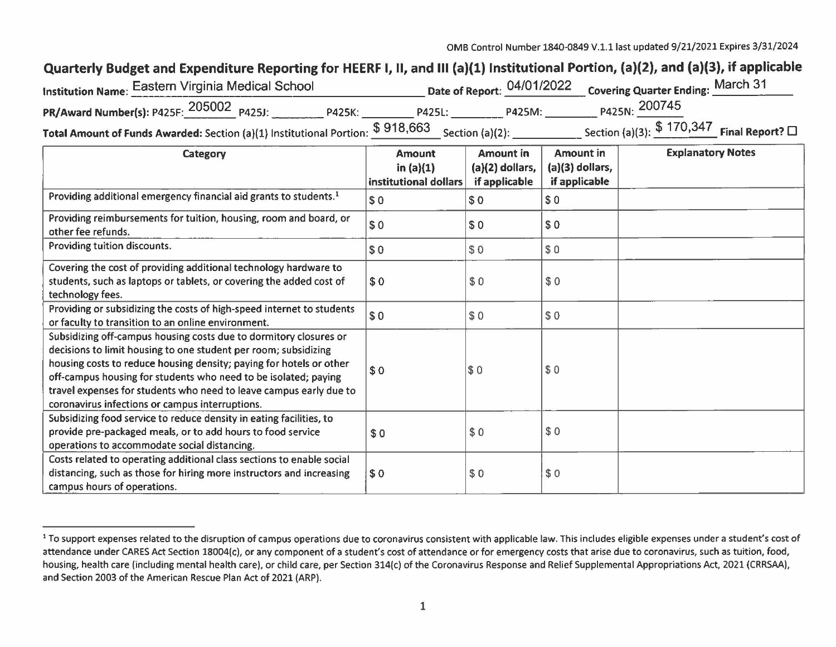## Quarterly Budget and Expenditure Reporting for HEERF I, II, and III (a)(1) Institutional Portion, (a)(2), and (a)(3), if applicable

| 'nstitution Name: Eastern Virginia Medical School                                               |               |        | Date of Report: 04/01/2022 Covering Quarter Ending: March 31 |  |
|-------------------------------------------------------------------------------------------------|---------------|--------|--------------------------------------------------------------|--|
| PR/Award Number(s): P425F: 205002 P425J:<br><b>P425K:</b>                                       | <b>P425L:</b> | P425M: | P425N: 200745                                                |  |
| Total Amount of Funds Awarded: Section (a)(1) Institutional Portion: $$918,663$ Section (a)(2): |               |        | Section (a)(3): $$170,347$ Final Report? $\square$           |  |

| Category                                                                                                                                                                                                                                                                                                                                                                                                | <b>Amount</b><br>in $(a)(1)$<br>institutional dollars | <b>Amount in</b><br>$(a)(2)$ dollars,<br>if applicable | <b>Amount in</b><br>(a)(3) dollars,<br>if applicable | <b>Explanatory Notes</b> |
|---------------------------------------------------------------------------------------------------------------------------------------------------------------------------------------------------------------------------------------------------------------------------------------------------------------------------------------------------------------------------------------------------------|-------------------------------------------------------|--------------------------------------------------------|------------------------------------------------------|--------------------------|
| Providing additional emergency financial aid grants to students. <sup>1</sup>                                                                                                                                                                                                                                                                                                                           | $\sqrt{ }$                                            | \$0                                                    | \$0                                                  |                          |
| Providing reimbursements for tuition, housing, room and board, or<br>other fee refunds.                                                                                                                                                                                                                                                                                                                 | \$0                                                   | \$0                                                    | \$0                                                  |                          |
| Providing tuition discounts.                                                                                                                                                                                                                                                                                                                                                                            | \$0                                                   | \$0                                                    | \$0                                                  |                          |
| Covering the cost of providing additional technology hardware to<br>students, such as laptops or tablets, or covering the added cost of<br>technology fees.                                                                                                                                                                                                                                             | \$0                                                   | \$0                                                    | \$0                                                  |                          |
| Providing or subsidizing the costs of high-speed internet to students<br>or faculty to transition to an online environment.                                                                                                                                                                                                                                                                             | \$0                                                   | \$0                                                    | \$0                                                  |                          |
| Subsidizing off-campus housing costs due to dormitory closures or<br>decisions to limit housing to one student per room; subsidizing<br>housing costs to reduce housing density; paying for hotels or other<br>off-campus housing for students who need to be isolated; paying<br>travel expenses for students who need to leave campus early due to<br>coronavirus infections or campus interruptions. | \$0                                                   | $\sqrt{3}0$                                            | \$0                                                  |                          |
| Subsidizing food service to reduce density in eating facilities, to<br>provide pre-packaged meals, or to add hours to food service<br>operations to accommodate social distancing.                                                                                                                                                                                                                      | \$0                                                   | \$0                                                    | \$0                                                  |                          |
| Costs related to operating additional class sections to enable social<br>distancing, such as those for hiring more instructors and increasing<br>campus hours of operations.                                                                                                                                                                                                                            | \$0                                                   | \$0                                                    | \$0                                                  |                          |

<sup>&</sup>lt;sup>1</sup> To support expenses related to the disruption of campus operations due to coronavirus consistent with applicable law. This includes eligible expenses under a student's cost of attendance under CARES Act Section 18004(c), or any component of a student's cost of attendance or for emergency costs that arise due to coronavirus, such as tuition, food, housing, health care (including mental health care), or child care, per Section 314(c) of the Coronavirus Response and Relief Supplemental Appropriations Act, 2021 (CRRSAA), and Section 2003 of the American Rescue Plan Act of 2021 (ARP).